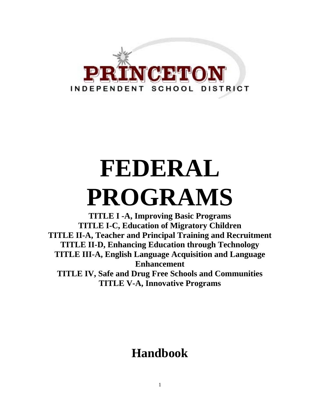

# **FEDERAL PROGRAMS**

**TITLE I -A, Improving Basic Programs TITLE I-C, Education of Migratory Children TITLE II-A, Teacher and Principal Training and Recruitment TITLE II-D, Enhancing Education through Technology TITLE III-A, English Language Acquisition and Language Enhancement TITLE IV, Safe and Drug Free Schools and Communities TITLE V-A, Innovative Programs** 

### **Handbook**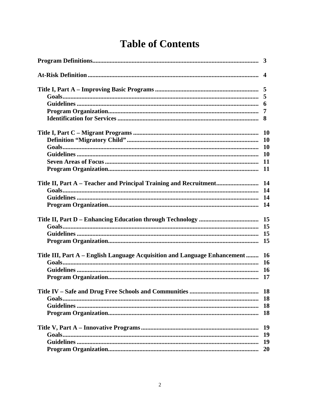### **Table of Contents**

|                                                                           | $\overline{\mathbf{4}}$ |
|---------------------------------------------------------------------------|-------------------------|
|                                                                           |                         |
|                                                                           |                         |
|                                                                           |                         |
|                                                                           |                         |
|                                                                           |                         |
|                                                                           |                         |
|                                                                           |                         |
|                                                                           |                         |
|                                                                           |                         |
|                                                                           |                         |
|                                                                           |                         |
|                                                                           | 14                      |
|                                                                           |                         |
|                                                                           |                         |
|                                                                           |                         |
|                                                                           |                         |
|                                                                           |                         |
|                                                                           |                         |
|                                                                           |                         |
| Title III, Part A - English Language Acquisition and Language Enhancement | <b>16</b>               |
|                                                                           |                         |
|                                                                           |                         |
|                                                                           |                         |
|                                                                           | 18                      |
|                                                                           | <b>18</b>               |
|                                                                           | <b>18</b>               |
|                                                                           | 18                      |
|                                                                           | 19                      |
| Goals                                                                     | 19                      |
|                                                                           | 19                      |
|                                                                           | 20                      |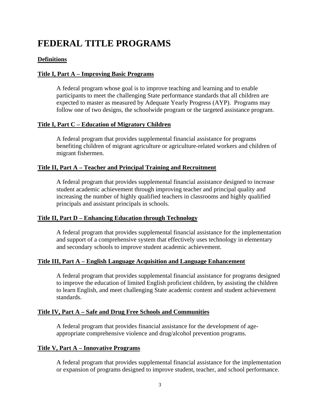### **FEDERAL TITLE PROGRAMS**

#### **Definitions**

#### **Title I, Part A – Improving Basic Programs**

A federal program whose goal is to improve teaching and learning and to enable participants to meet the challenging State performance standards that all children are expected to master as measured by Adequate Yearly Progress (AYP). Programs may follow one of two designs, the schoolwide program or the targeted assistance program.

#### **Title I, Part C – Education of Migratory Children**

A federal program that provides supplemental financial assistance for programs benefiting children of migrant agriculture or agriculture-related workers and children of migrant fishermen.

#### **Title II, Part A – Teacher and Principal Training and Recruitment**

A federal program that provides supplemental financial assistance designed to increase student academic achievement through improving teacher and principal quality and increasing the number of highly qualified teachers in classrooms and highly qualified principals and assistant principals in schools.

#### **Title II, Part D – Enhancing Education through Technology**

A federal program that provides supplemental financial assistance for the implementation and support of a comprehensive system that effectively uses technology in elementary and secondary schools to improve student academic achievement.

#### **Title III, Part A – English Language Acquisition and Language Enhancement**

A federal program that provides supplemental financial assistance for programs designed to improve the education of limited English proficient children, by assisting the children to learn English, and meet challenging State academic content and student achievement standards.

#### **Title IV, Part A – Safe and Drug Free Schools and Communities**

A federal program that provides financial assistance for the development of ageappropriate comprehensive violence and drug/alcohol prevention programs.

#### **Title V, Part A – Innovative Programs**

A federal program that provides supplemental financial assistance for the implementation or expansion of programs designed to improve student, teacher, and school performance.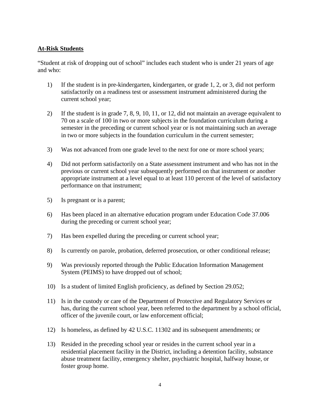#### **At-Risk Students**

"Student at risk of dropping out of school" includes each student who is under 21 years of age and who:

- 1) If the student is in pre-kindergarten, kindergarten, or grade 1, 2, or 3, did not perform satisfactorily on a readiness test or assessment instrument administered during the current school year;
- 2) If the student is in grade 7, 8, 9, 10, 11, or 12, did not maintain an average equivalent to 70 on a scale of 100 in two or more subjects in the foundation curriculum during a semester in the preceding or current school year or is not maintaining such an average in two or more subjects in the foundation curriculum in the current semester;
- 3) Was not advanced from one grade level to the next for one or more school years;
- 4) Did not perform satisfactorily on a State assessment instrument and who has not in the previous or current school year subsequently performed on that instrument or another appropriate instrument at a level equal to at least 110 percent of the level of satisfactory performance on that instrument;
- 5) Is pregnant or is a parent;
- 6) Has been placed in an alternative education program under Education Code 37.006 during the preceding or current school year;
- 7) Has been expelled during the preceding or current school year;
- 8) Is currently on parole, probation, deferred prosecution, or other conditional release;
- 9) Was previously reported through the Public Education Information Management System (PEIMS) to have dropped out of school;
- 10) Is a student of limited English proficiency, as defined by Section 29.052;
- 11) Is in the custody or care of the Department of Protective and Regulatory Services or has, during the current school year, been referred to the department by a school official, officer of the juvenile court, or law enforcement official;
- 12) Is homeless, as defined by 42 U.S.C. 11302 and its subsequent amendments; or
- 13) Resided in the preceding school year or resides in the current school year in a residential placement facility in the District, including a detention facility, substance abuse treatment facility, emergency shelter, psychiatric hospital, halfway house, or foster group home.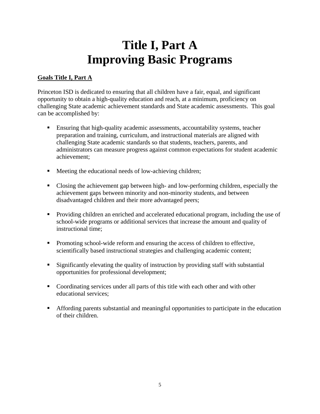# **Title I, Part A Improving Basic Programs**

#### **Goals Title I, Part A**

Princeton ISD is dedicated to ensuring that all children have a fair, equal, and significant opportunity to obtain a high-quality education and reach, at a minimum, proficiency on challenging State academic achievement standards and State academic assessments. This goal can be accomplished by:

- Ensuring that high-quality academic assessments, accountability systems, teacher preparation and training, curriculum, and instructional materials are aligned with challenging State academic standards so that students, teachers, parents, and administrators can measure progress against common expectations for student academic achievement;
- Meeting the educational needs of low-achieving children;
- Closing the achievement gap between high- and low-performing children, especially the achievement gaps between minority and non-minority students, and between disadvantaged children and their more advantaged peers;
- **Providing children an enriched and accelerated educational program, including the use of** school-wide programs or additional services that increase the amount and quality of instructional time;
- Promoting school-wide reform and ensuring the access of children to effective, scientifically based instructional strategies and challenging academic content;
- Significantly elevating the quality of instruction by providing staff with substantial opportunities for professional development;
- Coordinating services under all parts of this title with each other and with other educational services;
- Affording parents substantial and meaningful opportunities to participate in the education of their children.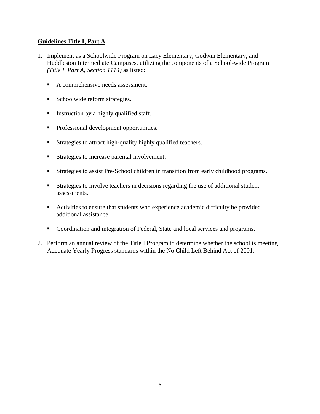#### **Guidelines Title I, Part A**

- 1. Implement as a Schoolwide Program on Lacy Elementary, Godwin Elementary, and Huddleston Intermediate Campuses, utilizing the components of a School-wide Program *(Title I, Part A, Section 1114)* as listed:
	- A comprehensive needs assessment.
	- Schoolwide reform strategies.
	- **Instruction by a highly qualified staff.**
	- **Professional development opportunities.**
	- Strategies to attract high-quality highly qualified teachers.
	- **Strategies to increase parental involvement.**
	- Strategies to assist Pre-School children in transition from early childhood programs.
	- Strategies to involve teachers in decisions regarding the use of additional student assessments.
	- Activities to ensure that students who experience academic difficulty be provided additional assistance.
	- Coordination and integration of Federal, State and local services and programs.
- 2. Perform an annual review of the Title I Program to determine whether the school is meeting Adequate Yearly Progress standards within the No Child Left Behind Act of 2001.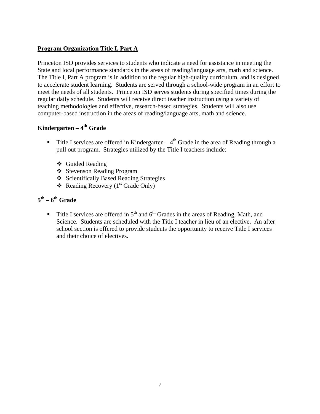#### **Program Organization Title I, Part A**

Princeton ISD provides services to students who indicate a need for assistance in meeting the State and local performance standards in the areas of reading/language arts, math and science. The Title I, Part A program is in addition to the regular high-quality curriculum, and is designed to accelerate student learning. Students are served through a school-wide program in an effort to meet the needs of all students. Princeton ISD serves students during specified times during the regular daily schedule. Students will receive direct teacher instruction using a variety of teaching methodologies and effective, research-based strategies. Students will also use computer-based instruction in the areas of reading/language arts, math and science.

### Kindergarten – 4<sup>th</sup> Grade

- **Title I services are offered in Kindergarten**  $4<sup>th</sup>$  Grade in the area of Reading through a pull out program. Strategies utilized by the Title I teachers include:
	- ❖ Guided Reading
	- Stevenson Reading Program
	- Scientifically Based Reading Strategies
	- Reading Recovery ( $1<sup>st</sup>$  Grade Only)

### $5<sup>th</sup> - 6<sup>th</sup>$  Grade

**Title I** services are offered in  $5<sup>th</sup>$  and  $6<sup>th</sup>$  Grades in the areas of Reading, Math, and Science. Students are scheduled with the Title I teacher in lieu of an elective. An after school section is offered to provide students the opportunity to receive Title I services and their choice of electives.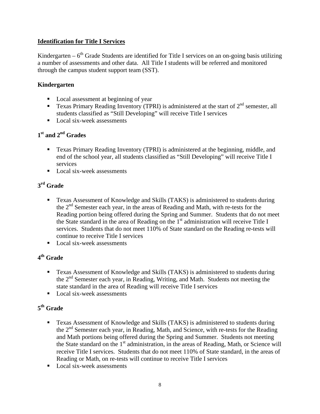#### **Identification for Title I Services**

Kindergarten –  $6<sup>th</sup>$  Grade Students are identified for Title I services on an on-going basis utilizing a number of assessments and other data. All Title I students will be referred and monitored through the campus student support team (SST).

#### **Kindergarten**

- Local assessment at beginning of year
- **Texas Primary Reading Inventory (TPRI) is administered at the start of**  $2^{nd}$  **semester, all** students classified as "Still Developing" will receive Title I services
- Local six-week assessments

#### **1st and 2nd Grades**

- Texas Primary Reading Inventory (TPRI) is administered at the beginning, middle, and end of the school year, all students classified as "Still Developing" will receive Title I services
- $\blacksquare$  Local six-week assessments

#### **3rd Grade**

- Texas Assessment of Knowledge and Skills (TAKS) is administered to students during the 2nd Semester each year, in the areas of Reading and Math, with re-tests for the Reading portion being offered during the Spring and Summer. Students that do not meet the State standard in the area of Reading on the  $1<sup>st</sup>$  administration will receive Title I services. Students that do not meet 110% of State standard on the Reading re-tests will continue to receive Title I services
- Local six-week assessments

### **4th Grade**

- Texas Assessment of Knowledge and Skills (TAKS) is administered to students during the 2nd Semester each year, in Reading, Writing, and Math. Students not meeting the state standard in the area of Reading will receive Title I services
- Local six-week assessments

### **5th Grade**

- Texas Assessment of Knowledge and Skills (TAKS) is administered to students during the  $2<sup>nd</sup>$  Semester each year, in Reading, Math, and Science, with re-tests for the Reading and Math portions being offered during the Spring and Summer. Students not meeting the State standard on the  $1<sup>st</sup>$  administration, in the areas of Reading, Math, or Science will receive Title I services. Students that do not meet 110% of State standard, in the areas of Reading or Math, on re-tests will continue to receive Title I services
- Local six-week assessments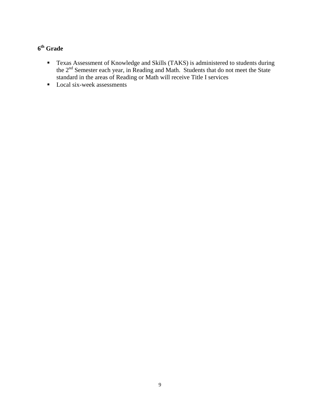### **6th Grade**

- **Texas Assessment of Knowledge and Skills (TAKS) is administered to students during** the  $2<sup>nd</sup>$  Semester each year, in Reading and Math. Students that do not meet the State standard in the areas of Reading or Math will receive Title I services
- **Local six-week assessments**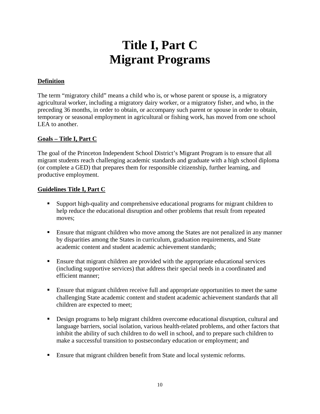# **Title I, Part C Migrant Programs**

#### **Definition**

The term "migratory child" means a child who is, or whose parent or spouse is, a migratory agricultural worker, including a migratory dairy worker, or a migratory fisher, and who, in the preceding 36 months, in order to obtain, or accompany such parent or spouse in order to obtain, temporary or seasonal employment in agricultural or fishing work, has moved from one school LEA to another.

#### **Goals – Title I, Part C**

The goal of the Princeton Independent School District's Migrant Program is to ensure that all migrant students reach challenging academic standards and graduate with a high school diploma (or complete a GED) that prepares them for responsible citizenship, further learning, and productive employment.

#### **Guidelines Title I, Part C**

- Support high-quality and comprehensive educational programs for migrant children to help reduce the educational disruption and other problems that result from repeated moves;
- **Ensure that migrant children who move among the States are not penalized in any manner** by disparities among the States in curriculum, graduation requirements, and State academic content and student academic achievement standards;
- Ensure that migrant children are provided with the appropriate educational services (including supportive services) that address their special needs in a coordinated and efficient manner;
- **Ensure that migrant children receive full and appropriate opportunities to meet the same** challenging State academic content and student academic achievement standards that all children are expected to meet;
- Design programs to help migrant children overcome educational disruption, cultural and language barriers, social isolation, various health-related problems, and other factors that inhibit the ability of such children to do well in school, and to prepare such children to make a successful transition to postsecondary education or employment; and
- **Ensure that migrant children benefit from State and local systemic reforms.**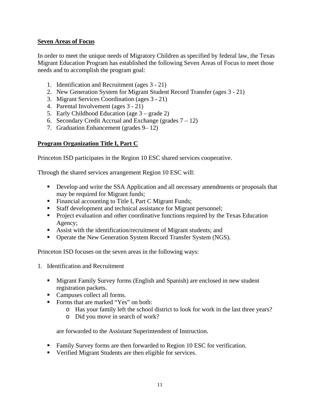#### **Seven Areas of Focus**

In order to meet the unique needs of Migratory Children as specified by federal law, the Texas Migrant Education Program has established the following Seven Areas of Focus to meet those needs and to accomplish the program goal:

- 1. Identification and Recruitment (ages 3 21)
- 2. New Generation System for Migrant Student Record Transfer (ages 3 21)
- 3. Migrant Services Coordination (ages 3 21)
- 4. Parental Involvement (ages 3 21)
- 5. Early Childhood Education (age 3 grade 2)
- 6. Secondary Credit Accrual and Exchange (grades  $7 12$ )
- 7. Graduation Enhancement (grades 9– 12)

#### **Program Organization Title I, Part C**

Princeton ISD participates in the Region 10 ESC shared services cooperative.

Through the shared services arrangement Region 10 ESC will:

- Develop and write the SSA Application and all necessary amendments or proposals that may be required for Migrant funds;
- Financial accounting to Title I, Part C Migrant Funds;
- Staff development and technical assistance for Migrant personnel;
- **Project evaluation and other coordinative functions required by the Texas Education** Agency;
- Assist with the identification/recruitment of Migrant students; and
- Operate the New Generation System Record Transfer System (NGS).

Princeton ISD focuses on the seven areas in the following ways:

- 1. Identification and Recruitment
	- Migrant Family Survey forms (English and Spanish) are enclosed in new student registration packets.
	- Campuses collect all forms.
	- Forms that are marked "Yes" on both:
		- o Has your family left the school district to look for work in the last three years?
		- o Did you move in search of work?

are forwarded to the Assistant Superintendent of Instruction.

- Family Survey forms are then forwarded to Region 10 ESC for verification.
- Verified Migrant Students are then eligible for services.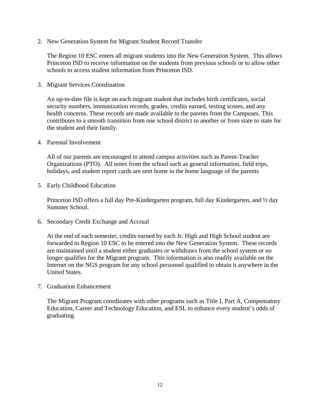2. New Generation System for Migrant Student Record Transfer

The Region 10 ESC enters all migrant students into the New Generation System. This allows Princeton ISD to receive information on the students from previous schools or to allow other schools to access student information from Princeton ISD.

3. Migrant Services Coordination

An up-to-date file is kept on each migrant student that includes birth certificates, social security numbers, immunization records, grades, credits earned, testing scores, and any health concerns. These records are made available to the parents from the Campuses. This contributes to a smooth transition from one school district to another or from state to state for the student and their family.

4. Parental Involvement

All of our parents are encouraged to attend campus activities such as Parent-Teacher Organizations (PTO). All notes from the school such as general information, field trips, holidays, and student report cards are sent home in the home language of the parents

5. Early Childhood Education

Princeton ISD offers a full day Pre-Kindergarten program, full day Kindergarten, and ½ day Summer School.

6. Secondary Credit Exchange and Accrual

At the end of each semester, credits earned by each Jr. High and High School student are forwarded to Region 10 ESC to be entered into the New Generation System. These records are maintained until a student either graduates or withdraws from the school system or no longer qualifies for the Migrant program. This information is also readily available on the Internet on the NGS program for any school personnel qualified to obtain it anywhere in the United States.

7. Graduation Enhancement

The Migrant Program coordinates with other programs such as Title I, Part A, Compensatory Education, Career and Technology Education, and ESL to enhance every student's odds of graduating.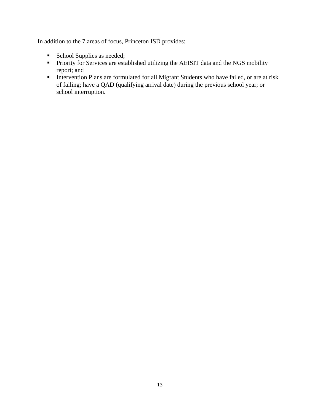In addition to the 7 areas of focus, Princeton ISD provides:

- School Supplies as needed;
- **Priority for Services are established utilizing the AEISIT data and the NGS mobility** report; and
- Intervention Plans are formulated for all Migrant Students who have failed, or are at risk of failing; have a QAD (qualifying arrival date) during the previous school year; or school interruption.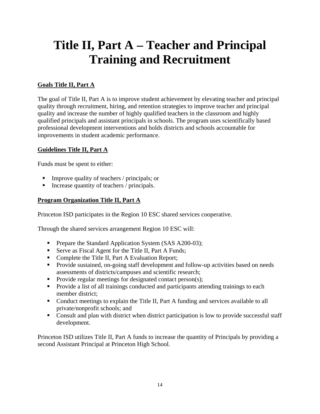# **Title II, Part A – Teacher and Principal Training and Recruitment**

#### **Goals Title II, Part A**

The goal of Title II, Part A is to improve student achievement by elevating teacher and principal quality through recruitment, hiring, and retention strategies to improve teacher and principal quality and increase the number of highly qualified teachers in the classroom and highly qualified principals and assistant principals in schools. The program uses scientifically based professional development interventions and holds districts and schools accountable for improvements in student academic performance.

#### **Guidelines Title II, Part A**

Funds must be spent to either:

- Improve quality of teachers / principals; or
- Increase quantity of teachers  $/$  principals.

#### **Program Organization Title II, Part A**

Princeton ISD participates in the Region 10 ESC shared services cooperative.

Through the shared services arrangement Region 10 ESC will:

- **Prepare the Standard Application System (SAS A200-03);**
- Serve as Fiscal Agent for the Title II, Part A Funds;
- Complete the Title II, Part A Evaluation Report;
- **Provide sustained, on-going staff development and follow-up activities based on needs** assessments of districts/campuses and scientific research;
- Provide regular meetings for designated contact person(s);
- **Provide a list of all trainings conducted and participants attending trainings to each** member district;
- Conduct meetings to explain the Title II, Part A funding and services available to all private/nonprofit schools; and
- Consult and plan with district when district participation is low to provide successful staff development.

Princeton ISD utilizes Title II, Part A funds to increase the quantity of Principals by providing a second Assistant Principal at Princeton High School.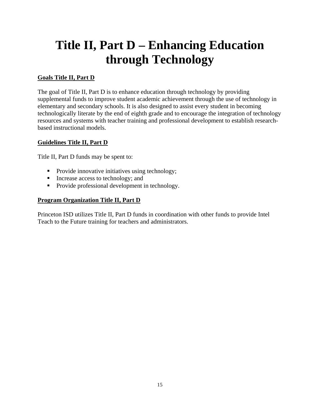# **Title II, Part D – Enhancing Education through Technology**

#### **Goals Title II, Part D**

The goal of Title II, Part D is to enhance education through technology by providing supplemental funds to improve student academic achievement through the use of technology in elementary and secondary schools. It is also designed to assist every student in becoming technologically literate by the end of eighth grade and to encourage the integration of technology resources and systems with teacher training and professional development to establish researchbased instructional models.

#### **Guidelines Title II, Part D**

Title II, Part D funds may be spent to:

- **Provide innovative initiatives using technology;**
- Increase access to technology; and
- Provide professional development in technology.

#### **Program Organization Title II, Part D**

Princeton ISD utilizes Title II, Part D funds in coordination with other funds to provide Intel Teach to the Future training for teachers and administrators.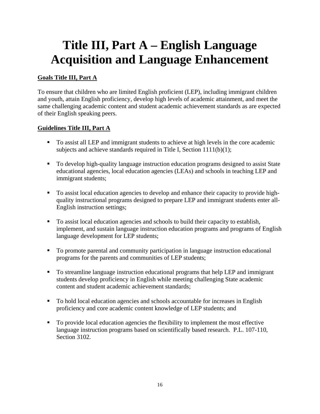# **Title III, Part A – English Language Acquisition and Language Enhancement**

#### **Goals Title III, Part A**

To ensure that children who are limited English proficient (LEP), including immigrant children and youth, attain English proficiency, develop high levels of academic attainment, and meet the same challenging academic content and student academic achievement standards as are expected of their English speaking peers.

#### **Guidelines Title III, Part A**

- To assist all LEP and immigrant students to achieve at high levels in the core academic subjects and achieve standards required in Title I, Section 1111(b)(1);
- To develop high-quality language instruction education programs designed to assist State educational agencies, local education agencies (LEAs) and schools in teaching LEP and immigrant students;
- To assist local education agencies to develop and enhance their capacity to provide highquality instructional programs designed to prepare LEP and immigrant students enter all-English instruction settings;
- To assist local education agencies and schools to build their capacity to establish, implement, and sustain language instruction education programs and programs of English language development for LEP students;
- To promote parental and community participation in language instruction educational programs for the parents and communities of LEP students;
- To streamline language instruction educational programs that help LEP and immigrant students develop proficiency in English while meeting challenging State academic content and student academic achievement standards;
- To hold local education agencies and schools accountable for increases in English proficiency and core academic content knowledge of LEP students; and
- To provide local education agencies the flexibility to implement the most effective language instruction programs based on scientifically based research. P.L. 107-110, Section 3102.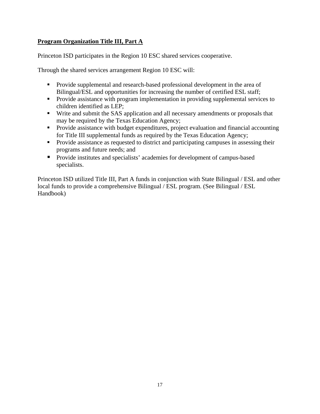#### **Program Organization Title III, Part A**

Princeton ISD participates in the Region 10 ESC shared services cooperative.

Through the shared services arrangement Region 10 ESC will:

- **Provide supplemental and research-based professional development in the area of** Bilingual/ESL and opportunities for increasing the number of certified ESL staff;
- **Provide assistance with program implementation in providing supplemental services to** children identified as LEP;
- Write and submit the SAS application and all necessary amendments or proposals that may be required by the Texas Education Agency;
- **Provide assistance with budget expenditures, project evaluation and financial accounting** for Title III supplemental funds as required by the Texas Education Agency;
- **Provide assistance as requested to district and participating campuses in assessing their** programs and future needs; and
- **Provide institutes and specialists' academies for development of campus-based** specialists.

Princeton ISD utilized Title III, Part A funds in conjunction with State Bilingual / ESL and other local funds to provide a comprehensive Bilingual / ESL program. (See Bilingual / ESL Handbook)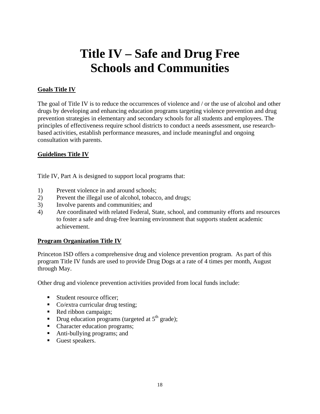### **Title IV – Safe and Drug Free Schools and Communities**

#### **Goals Title IV**

The goal of Title IV is to reduce the occurrences of violence and / or the use of alcohol and other drugs by developing and enhancing education programs targeting violence prevention and drug prevention strategies in elementary and secondary schools for all students and employees. The principles of effectiveness require school districts to conduct a needs assessment, use researchbased activities, establish performance measures, and include meaningful and ongoing consultation with parents.

#### **Guidelines Title IV**

Title IV, Part A is designed to support local programs that:

- 1) Prevent violence in and around schools;
- 2) Prevent the illegal use of alcohol, tobacco, and drugs;
- 3) Involve parents and communities; and
- 4) Are coordinated with related Federal, State, school, and community efforts and resources to foster a safe and drug-free learning environment that supports student academic achievement.

#### **Program Organization Title IV**

Princeton ISD offers a comprehensive drug and violence prevention program. As part of this program Title IV funds are used to provide Drug Dogs at a rate of 4 times per month, August through May.

Other drug and violence prevention activities provided from local funds include:

- Student resource officer;
- Co/extra curricular drug testing;
- Red ribbon campaign;
- $\blacksquare$  Drug education programs (targeted at  $5^{th}$  grade);
- Character education programs;
- Anti-bullying programs; and
- Guest speakers.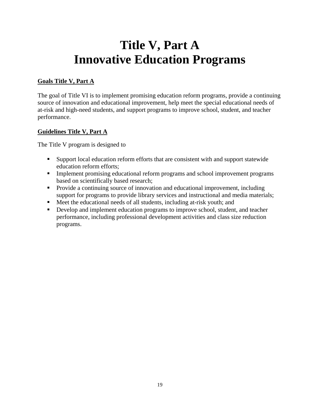# **Title V, Part A Innovative Education Programs**

#### **Goals Title V, Part A**

The goal of Title VI is to implement promising education reform programs, provide a continuing source of innovation and educational improvement, help meet the special educational needs of at-risk and high-need students, and support programs to improve school, student, and teacher performance.

#### **Guidelines Title V, Part A**

The Title V program is designed to

- Support local education reform efforts that are consistent with and support statewide education reform efforts;
- Implement promising educational reform programs and school improvement programs based on scientifically based research;
- **Provide a continuing source of innovation and educational improvement, including** support for programs to provide library services and instructional and media materials;
- Meet the educational needs of all students, including at-risk youth; and
- Develop and implement education programs to improve school, student, and teacher performance, including professional development activities and class size reduction programs.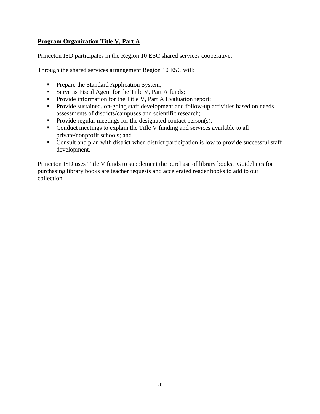#### **Program Organization Title V, Part A**

Princeton ISD participates in the Region 10 ESC shared services cooperative.

Through the shared services arrangement Region 10 ESC will:

- Prepare the Standard Application System;
- Serve as Fiscal Agent for the Title V, Part A funds;
- **Provide information for the Title V, Part A Evaluation report;**
- **Provide sustained, on-going staff development and follow-up activities based on needs** assessments of districts/campuses and scientific research;
- Provide regular meetings for the designated contact person(s);
- Conduct meetings to explain the Title V funding and services available to all private/nonprofit schools; and
- Consult and plan with district when district participation is low to provide successful staff development.

Princeton ISD uses Title V funds to supplement the purchase of library books. Guidelines for purchasing library books are teacher requests and accelerated reader books to add to our collection.